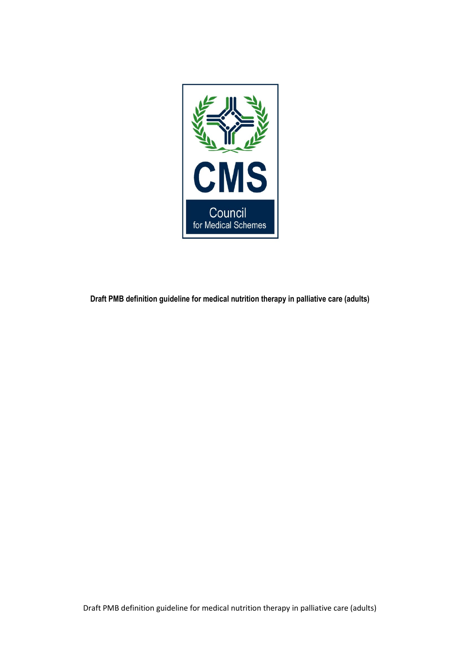

**Draft PMB definition guideline for medical nutrition therapy in palliative care (adults)**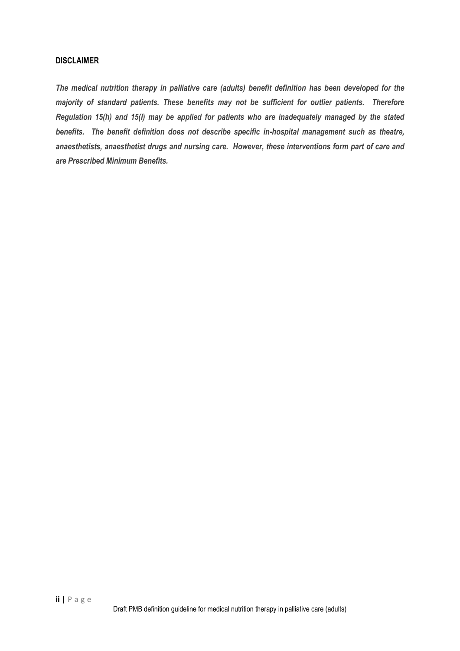#### **DISCLAIMER**

*The medical nutrition therapy in palliative care (adults) benefit definition has been developed for the majority of standard patients. These benefits may not be sufficient for outlier patients. Therefore Regulation 15(h) and 15(I) may be applied for patients who are inadequately managed by the stated benefits. The benefit definition does not describe specific in-hospital management such as theatre, anaesthetists, anaesthetist drugs and nursing care. However, these interventions form part of care and are Prescribed Minimum Benefits.*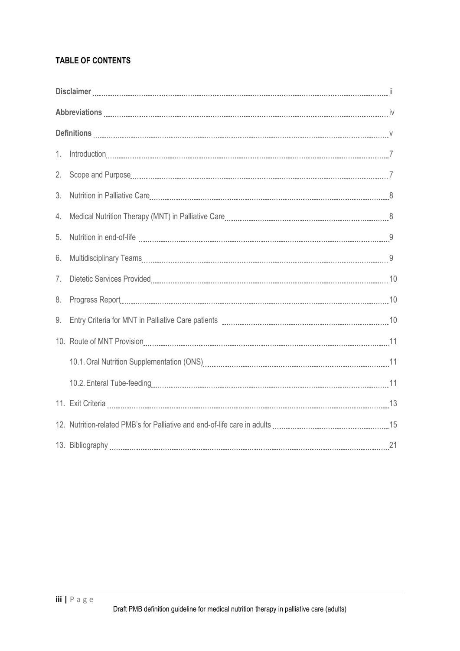# **TABLE OF CONTENTS**

| 1. |  |
|----|--|
| 2. |  |
| 3. |  |
| 4. |  |
| 5. |  |
| 6. |  |
| 7. |  |
| 8. |  |
| 9. |  |
|    |  |
|    |  |
|    |  |
|    |  |
|    |  |
|    |  |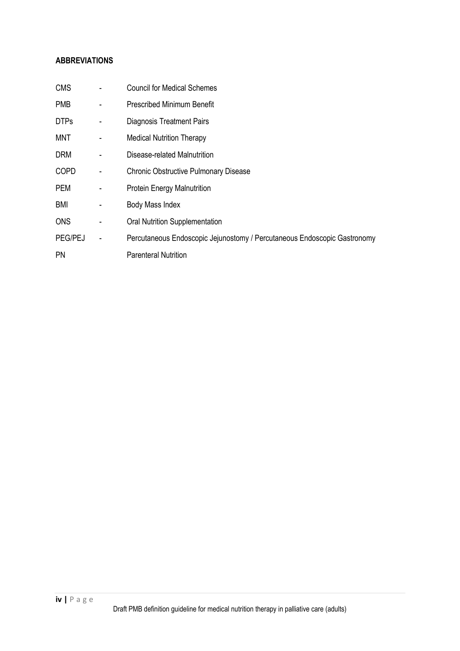## **ABBREVIATIONS**

|                              | <b>Council for Medical Schemes</b>                                       |
|------------------------------|--------------------------------------------------------------------------|
|                              | <b>Prescribed Minimum Benefit</b>                                        |
| -                            | <b>Diagnosis Treatment Pairs</b>                                         |
| $\overline{\phantom{a}}$     | <b>Medical Nutrition Therapy</b>                                         |
|                              | Disease-related Malnutrition                                             |
| $\qquad \qquad \blacksquare$ | <b>Chronic Obstructive Pulmonary Disease</b>                             |
| -                            | <b>Protein Energy Malnutrition</b>                                       |
| -                            | Body Mass Index                                                          |
| -                            | <b>Oral Nutrition Supplementation</b>                                    |
| -                            | Percutaneous Endoscopic Jejunostomy / Percutaneous Endoscopic Gastronomy |
|                              | <b>Parenteral Nutrition</b>                                              |
|                              |                                                                          |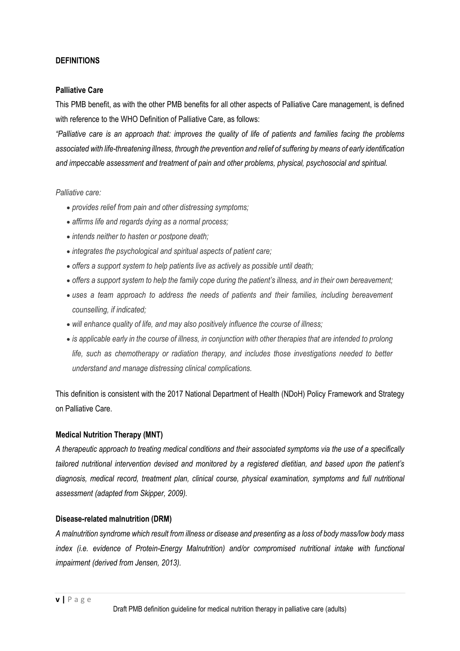## **DEFINITIONS**

### **Palliative Care**

This PMB benefit, as with the other PMB benefits for all other aspects of Palliative Care management, is defined with reference to the WHO Definition of Palliative Care, as follows:

*"Palliative care is an approach that: improves the quality of life of patients and families facing the problems associated with life-threatening illness, through the prevention and relief of suffering by means of early identification and impeccable assessment and treatment of pain and other problems, physical, psychosocial and spiritual.* 

#### *Palliative care:*

- *provides relief from pain and other distressing symptoms;*
- *affirms life and regards dying as a normal process;*
- *intends neither to hasten or postpone death;*
- *integrates the psychological and spiritual aspects of patient care;*
- *offers a support system to help patients live as actively as possible until death;*
- *offers a support system to help the family cope during the patient's illness, and in their own bereavement;*
- *uses a team approach to address the needs of patients and their families, including bereavement counselling, if indicated;*
- *will enhance quality of life, and may also positively influence the course of illness;*
- *is applicable early in the course of illness, in conjunction with other therapies that are intended to prolong life, such as chemotherapy or radiation therapy, and includes those investigations needed to better understand and manage distressing clinical complications.*

This definition is consistent with the 2017 National Department of Health (NDoH) Policy Framework and Strategy on Palliative Care.

### **Medical Nutrition Therapy (MNT)**

*A therapeutic approach to treating medical conditions and their associated symptoms via the use of a specifically tailored nutritional intervention devised and monitored by a registered dietitian, and based upon the patient's diagnosis, medical record, treatment plan, clinical course, physical examination, symptoms and full nutritional assessment (adapted from Skipper, 2009).*

### **Disease-related malnutrition (DRM)**

*A malnutrition syndrome which result from illness or disease and presenting as a loss of body mass/low body mass index (i.e. evidence of Protein-Energy Malnutrition) and/or compromised nutritional intake with functional impairment (derived from Jensen, 2013).*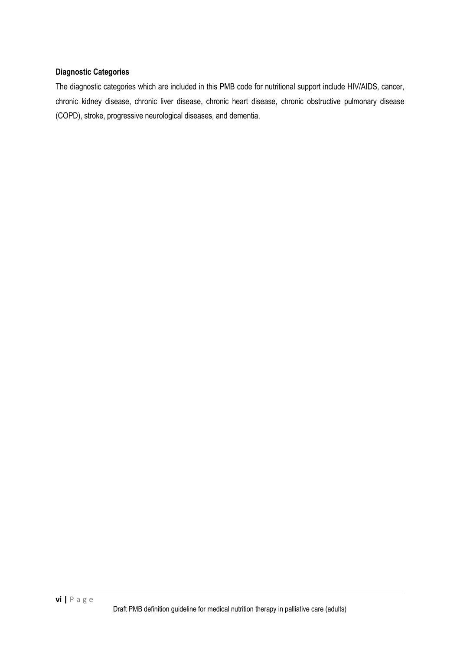## **Diagnostic Categories**

The diagnostic categories which are included in this PMB code for nutritional support include HIV/AIDS, cancer, chronic kidney disease, chronic liver disease, chronic heart disease, chronic obstructive pulmonary disease (COPD), stroke, progressive neurological diseases, and dementia.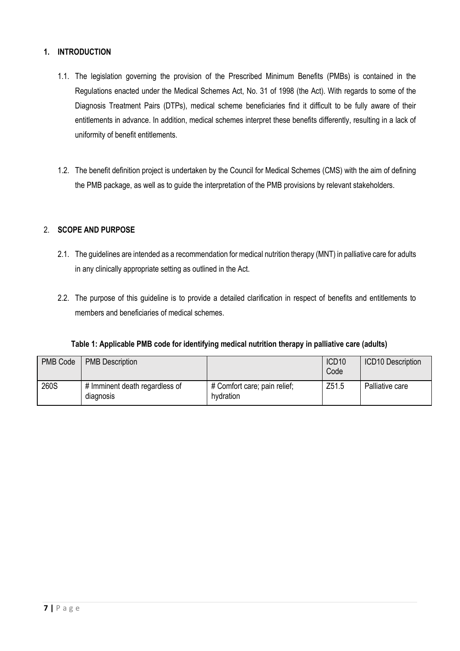## **1. INTRODUCTION**

- 1.1. The legislation governing the provision of the Prescribed Minimum Benefits (PMBs) is contained in the Regulations enacted under the Medical Schemes Act, No. 31 of 1998 (the Act). With regards to some of the Diagnosis Treatment Pairs (DTPs), medical scheme beneficiaries find it difficult to be fully aware of their entitlements in advance. In addition, medical schemes interpret these benefits differently, resulting in a lack of uniformity of benefit entitlements.
- 1.2. The benefit definition project is undertaken by the Council for Medical Schemes (CMS) with the aim of defining the PMB package, as well as to guide the interpretation of the PMB provisions by relevant stakeholders.

## 2. **SCOPE AND PURPOSE**

- 2.1. The guidelines are intended as a recommendation for medical nutrition therapy (MNT) in palliative care for adults in any clinically appropriate setting as outlined in the Act.
- 2.2. The purpose of this guideline is to provide a detailed clarification in respect of benefits and entitlements to members and beneficiaries of medical schemes.

|  |  |  | Table 1: Applicable PMB code for identifying medical nutrition therapy in palliative care (adults) |  |
|--|--|--|----------------------------------------------------------------------------------------------------|--|
|--|--|--|----------------------------------------------------------------------------------------------------|--|

| <b>PMB Code</b> | <b>PMB Description</b>                      |                                           | ICD <sub>10</sub><br>Code | <b>ICD10 Description</b> |
|-----------------|---------------------------------------------|-------------------------------------------|---------------------------|--------------------------|
| 260S            | # Imminent death regardless of<br>diagnosis | # Comfort care; pain relief;<br>hydration | Z51.5                     | Palliative care          |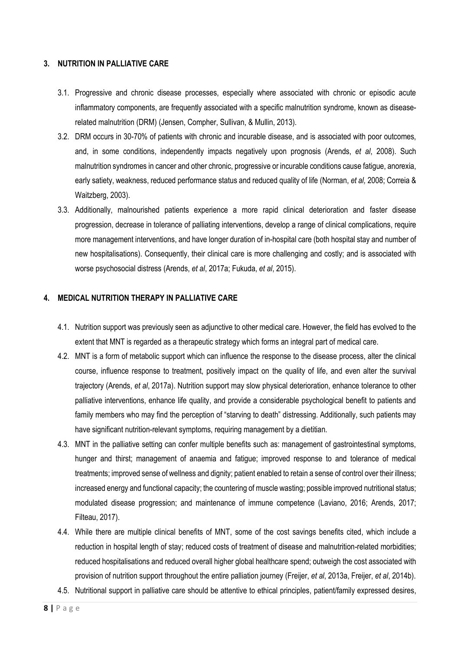## **3. NUTRITION IN PALLIATIVE CARE**

- 3.1. Progressive and chronic disease processes, especially where associated with chronic or episodic acute inflammatory components, are frequently associated with a specific malnutrition syndrome, known as diseaserelated malnutrition (DRM) (Jensen, Compher, Sullivan, & Mullin, 2013).
- 3.2. DRM occurs in 30-70% of patients with chronic and incurable disease, and is associated with poor outcomes, and, in some conditions, independently impacts negatively upon prognosis (Arends, *et al*, 2008). Such malnutrition syndromes in cancer and other chronic, progressive or incurable conditions cause fatigue, anorexia, early satiety, weakness, reduced performance status and reduced quality of life (Norman, *et al,* 2008; Correia & Waitzberg, 2003).
- 3.3. Additionally, malnourished patients experience a more rapid clinical deterioration and faster disease progression, decrease in tolerance of palliating interventions, develop a range of clinical complications, require more management interventions, and have longer duration of in-hospital care (both hospital stay and number of new hospitalisations). Consequently, their clinical care is more challenging and costly; and is associated with worse psychosocial distress (Arends, *et al*, 2017a; Fukuda, *et al*, 2015).

### **4. MEDICAL NUTRITION THERAPY IN PALLIATIVE CARE**

- 4.1. Nutrition support was previously seen as adjunctive to other medical care. However, the field has evolved to the extent that MNT is regarded as a therapeutic strategy which forms an integral part of medical care.
- 4.2. MNT is a form of metabolic support which can influence the response to the disease process, alter the clinical course, influence response to treatment, positively impact on the quality of life, and even alter the survival trajectory (Arends, *et al*, 2017a). Nutrition support may slow physical deterioration, enhance tolerance to other palliative interventions, enhance life quality, and provide a considerable psychological benefit to patients and family members who may find the perception of "starving to death" distressing. Additionally, such patients may have significant nutrition-relevant symptoms, requiring management by a dietitian.
- 4.3. MNT in the palliative setting can confer multiple benefits such as: management of gastrointestinal symptoms, hunger and thirst; management of anaemia and fatigue; improved response to and tolerance of medical treatments; improved sense of wellness and dignity; patient enabled to retain a sense of control over their illness; increased energy and functional capacity; the countering of muscle wasting; possible improved nutritional status; modulated disease progression; and maintenance of immune competence (Laviano, 2016; Arends, 2017; Filteau, 2017).
- 4.4. While there are multiple clinical benefits of MNT, some of the cost savings benefits cited, which include a reduction in hospital length of stay; reduced costs of treatment of disease and malnutrition-related morbidities; reduced hospitalisations and reduced overall higher global healthcare spend; outweigh the cost associated with provision of nutrition support throughout the entire palliation journey (Freijer, *et al*, 2013a, Freijer, *et al*, 2014b).
- 4.5. Nutritional support in palliative care should be attentive to ethical principles, patient/family expressed desires,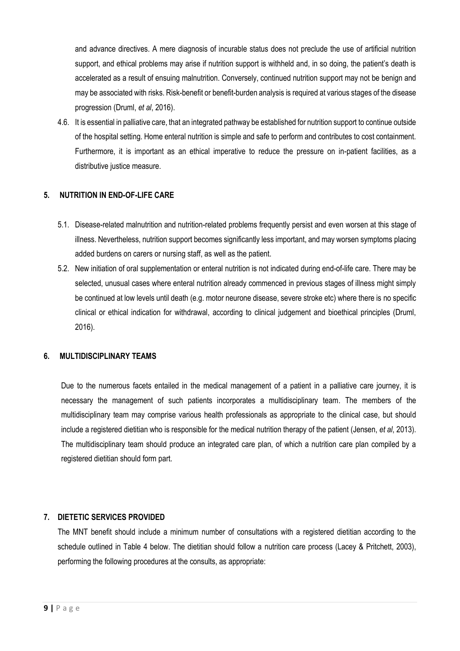and advance directives. A mere diagnosis of incurable status does not preclude the use of artificial nutrition support, and ethical problems may arise if nutrition support is withheld and, in so doing, the patient's death is accelerated as a result of ensuing malnutrition. Conversely, continued nutrition support may not be benign and may be associated with risks. Risk-benefit or benefit-burden analysis is required at various stages of the disease progression (Druml, *et al*, 2016).

4.6. It is essential in palliative care, that an integrated pathway be established for nutrition support to continue outside of the hospital setting. Home enteral nutrition is simple and safe to perform and contributes to cost containment. Furthermore, it is important as an ethical imperative to reduce the pressure on in-patient facilities, as a distributive justice measure.

### **5. NUTRITION IN END-OF-LIFE CARE**

- 5.1. Disease-related malnutrition and nutrition-related problems frequently persist and even worsen at this stage of illness. Nevertheless, nutrition support becomes significantly less important, and may worsen symptoms placing added burdens on carers or nursing staff, as well as the patient.
- 5.2. New initiation of oral supplementation or enteral nutrition is not indicated during end-of-life care. There may be selected, unusual cases where enteral nutrition already commenced in previous stages of illness might simply be continued at low levels until death (e.g. motor neurone disease, severe stroke etc) where there is no specific clinical or ethical indication for withdrawal, according to clinical judgement and bioethical principles (Druml, 2016).

### **6. MULTIDISCIPLINARY TEAMS**

Due to the numerous facets entailed in the medical management of a patient in a palliative care journey, it is necessary the management of such patients incorporates a multidisciplinary team. The members of the multidisciplinary team may comprise various health professionals as appropriate to the clinical case, but should include a registered dietitian who is responsible for the medical nutrition therapy of the patient (Jensen, *et al*, 2013). The multidisciplinary team should produce an integrated care plan, of which a nutrition care plan compiled by a registered dietitian should form part.

### **7. DIETETIC SERVICES PROVIDED**

The MNT benefit should include a minimum number of consultations with a registered dietitian according to the schedule outlined in Table 4 below. The dietitian should follow a nutrition care process (Lacey & Pritchett, 2003), performing the following procedures at the consults, as appropriate: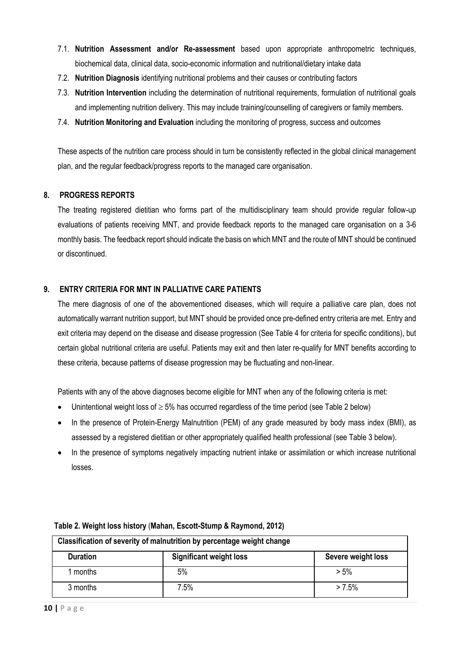- 7.1. **Nutrition Assessment and/or Re-assessment** based upon appropriate anthropometric techniques, biochemical data, clinical data, socio-economic information and nutritional/dietary intake data
- 7.2. **Nutrition Diagnosis** identifying nutritional problems and their causes or contributing factors
- 7.3. **Nutrition Intervention** including the determination of nutritional requirements, formulation of nutritional goals and implementing nutrition delivery. This may include training/counselling of caregivers or family members.
- 7.4. **Nutrition Monitoring and Evaluation** including the monitoring of progress, success and outcomes

These aspects of the nutrition care process should in turn be consistently reflected in the global clinical management plan, and the regular feedback/progress reports to the managed care organisation.

## **8. PROGRESS REPORTS**

The treating registered dietitian who forms part of the multidisciplinary team should provide regular follow-up evaluations of patients receiving MNT, and provide feedback reports to the managed care organisation on a 3-6 monthly basis. The feedback report should indicate the basis on which MNT and the route of MNT should be continued or discontinued.

## **9. ENTRY CRITERIA FOR MNT IN PALLIATIVE CARE PATIENTS**

The mere diagnosis of one of the abovementioned diseases, which will require a palliative care plan, does not automatically warrant nutrition support, but MNT should be provided once pre-defined entry criteria are met. Entry and exit criteria may depend on the disease and disease progression (See Table 4 for criteria for specific conditions), but certain global nutritional criteria are useful. Patients may exit and then later re-qualify for MNT benefits according to these criteria, because patterns of disease progression may be fluctuating and non-linear.

Patients with any of the above diagnoses become eligible for MNT when any of the following criteria is met:

- Unintentional weight loss of  $\geq$  5% has occurred regardless of the time period (see Table 2 below)
- In the presence of Protein-Energy Malnutrition (PEM) of any grade measured by body mass index (BMI), as assessed by a registered dietitian or other appropriately qualified health professional (see Table 3 below).
- In the presence of symptoms negatively impacting nutrient intake or assimilation or which increase nutritional losses.

| Classification of severity of malnutrition by percentage weight change |                                |                    |  |  |  |  |  |  |
|------------------------------------------------------------------------|--------------------------------|--------------------|--|--|--|--|--|--|
| <b>Duration</b>                                                        | <b>Significant weight loss</b> | Severe weight loss |  |  |  |  |  |  |
| 1 months                                                               | 5%                             | $> 5\%$            |  |  |  |  |  |  |
| 3 months                                                               | 7.5%                           | > 7.5%             |  |  |  |  |  |  |

#### **Table 2. Weight loss history** (**Mahan, Escott-Stump & Raymond, 2012)**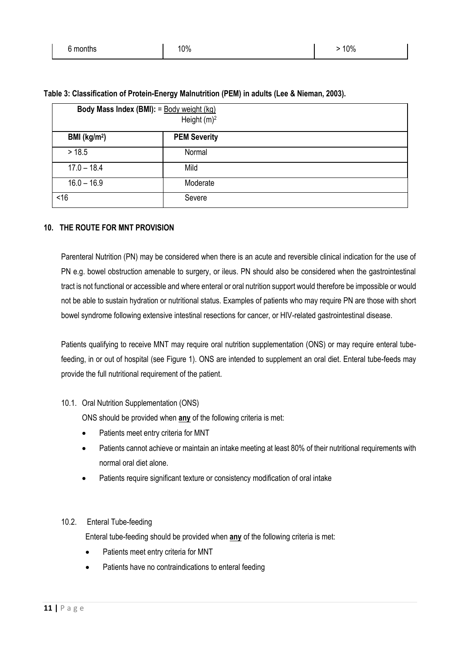| Body Mass Index (BMI): = Body weight (kg) | Height $(m)^2$      |  |
|-------------------------------------------|---------------------|--|
| BMI ( $kg/m2$ )                           | <b>PEM Severity</b> |  |
| > 18.5                                    | Normal              |  |
| $17.0 - 18.4$                             | Mild                |  |
| $16.0 - 16.9$                             | Moderate            |  |
| ~16                                       | Severe              |  |

### **Table 3: Classification of Protein-Energy Malnutrition (PEM) in adults (Lee & Nieman, 2003).**

### **10. THE ROUTE FOR MNT PROVISION**

Parenteral Nutrition (PN) may be considered when there is an acute and reversible clinical indication for the use of PN e.g. bowel obstruction amenable to surgery, or ileus. PN should also be considered when the gastrointestinal tract is not functional or accessible and where enteral or oral nutrition support would therefore be impossible or would not be able to sustain hydration or nutritional status. Examples of patients who may require PN are those with short bowel syndrome following extensive intestinal resections for cancer, or HIV-related gastrointestinal disease.

Patients qualifying to receive MNT may require oral nutrition supplementation (ONS) or may require enteral tubefeeding, in or out of hospital (see Figure 1). ONS are intended to supplement an oral diet. Enteral tube-feeds may provide the full nutritional requirement of the patient.

### 10.1. Oral Nutrition Supplementation (ONS)

ONS should be provided when **any** of the following criteria is met:

- Patients meet entry criteria for MNT
- Patients cannot achieve or maintain an intake meeting at least 80% of their nutritional requirements with normal oral diet alone.
- Patients require significant texture or consistency modification of oral intake

### 10.2. Enteral Tube-feeding

Enteral tube-feeding should be provided when **any** of the following criteria is met:

- Patients meet entry criteria for MNT
- Patients have no contraindications to enteral feeding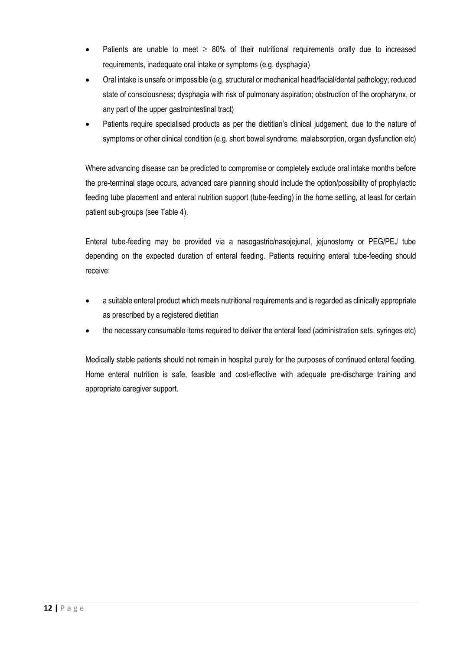- Patients are unable to meet  $\geq 80\%$  of their nutritional requirements orally due to increased requirements, inadequate oral intake or symptoms (e.g. dysphagia)
- Oral intake is unsafe or impossible (e.g. structural or mechanical head/facial/dental pathology; reduced state of consciousness; dysphagia with risk of pulmonary aspiration; obstruction of the oropharynx, or any part of the upper gastrointestinal tract)
- Patients require specialised products as per the dietitian's clinical judgement, due to the nature of symptoms or other clinical condition (e.g. short bowel syndrome, malabsorption, organ dysfunction etc)

Where advancing disease can be predicted to compromise or completely exclude oral intake months before the pre-terminal stage occurs, advanced care planning should include the option/possibility of prophylactic feeding tube placement and enteral nutrition support (tube-feeding) in the home setting, at least for certain patient sub-groups (see Table 4).

Enteral tube-feeding may be provided via a nasogastric/nasojejunal, jejunostomy or PEG/PEJ tube depending on the expected duration of enteral feeding. Patients requiring enteral tube-feeding should receive:

- a suitable enteral product which meets nutritional requirements and is regarded as clinically appropriate as prescribed by a registered dietitian
- the necessary consumable items required to deliver the enteral feed (administration sets, syringes etc)

Medically stable patients should not remain in hospital purely for the purposes of continued enteral feeding. Home enteral nutrition is safe, feasible and cost-effective with adequate pre-discharge training and appropriate caregiver support.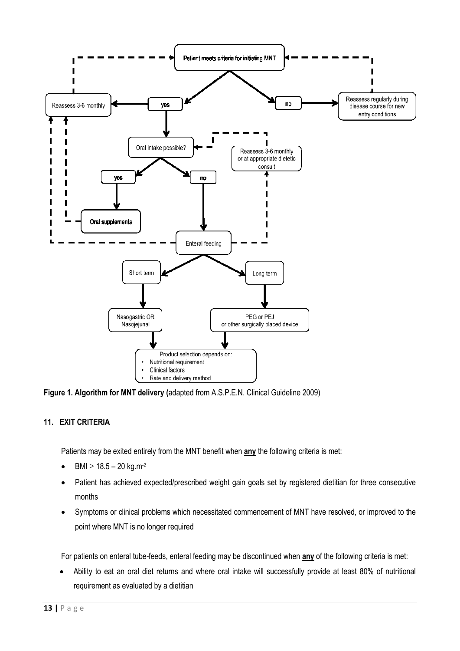

**Figure 1. Algorithm for MNT delivery (**adapted from A.S.P.E.N. Clinical Guideline 2009)

# **11. EXIT CRITERIA**

Patients may be exited entirely from the MNT benefit when **any** the following criteria is met:

- $BMI \geq 18.5 20$  kg.m<sup>-2</sup>
- Patient has achieved expected/prescribed weight gain goals set by registered dietitian for three consecutive months
- Symptoms or clinical problems which necessitated commencement of MNT have resolved, or improved to the point where MNT is no longer required

For patients on enteral tube-feeds, enteral feeding may be discontinued when **any** of the following criteria is met:

• Ability to eat an oral diet returns and where oral intake will successfully provide at least 80% of nutritional requirement as evaluated by a dietitian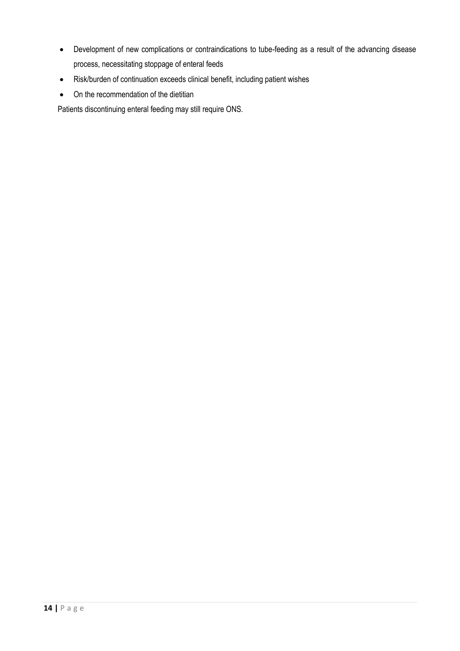- Development of new complications or contraindications to tube-feeding as a result of the advancing disease process, necessitating stoppage of enteral feeds
- Risk/burden of continuation exceeds clinical benefit, including patient wishes
- On the recommendation of the dietitian

Patients discontinuing enteral feeding may still require ONS.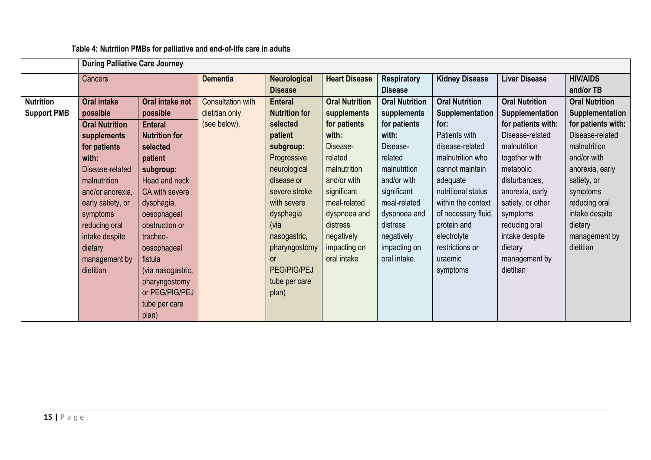|                    | <b>During Palliative Care Journey</b> |                      |                          |                      |                       |                       |                       |                       |                       |
|--------------------|---------------------------------------|----------------------|--------------------------|----------------------|-----------------------|-----------------------|-----------------------|-----------------------|-----------------------|
|                    | Cancers                               |                      | <b>Dementia</b>          | Neurological         | <b>Heart Disease</b>  | <b>Respiratory</b>    | <b>Kidney Disease</b> | <b>Liver Disease</b>  | <b>HIV/AIDS</b>       |
|                    |                                       |                      |                          | <b>Disease</b>       |                       | <b>Disease</b>        |                       |                       | and/or TB             |
| <b>Nutrition</b>   | <b>Oral intake</b>                    | Oral intake not      | <b>Consultation with</b> | <b>Enteral</b>       | <b>Oral Nutrition</b> | <b>Oral Nutrition</b> | <b>Oral Nutrition</b> | <b>Oral Nutrition</b> | <b>Oral Nutrition</b> |
| <b>Support PMB</b> | possible                              | possible             | dietitian only           | <b>Nutrition for</b> | supplements           | supplements           | Supplementation       | Supplementation       | Supplementation       |
|                    | <b>Oral Nutrition</b>                 | <b>Enteral</b>       | (see below).             | selected             | for patients          | for patients          | for:                  | for patients with:    | for patients with:    |
|                    | supplements                           | <b>Nutrition for</b> |                          | patient              | with:                 | with:                 | Patients with         | Disease-related       | Disease-related       |
|                    | for patients                          | selected             |                          | subgroup:            | Disease-              | Disease-              | disease-related       | malnutrition          | malnutrition          |
|                    | with:                                 | patient              |                          | Progressive          | related               | related               | malnutrition who      | together with         | and/or with           |
|                    | Disease-related                       | subgroup:            |                          | neurological         | malnutrition          | malnutrition          | cannot maintain       | metabolic             | anorexia, early       |
|                    | malnutrition                          | Head and neck        |                          | disease or           | and/or with           | and/or with           | adequate              | disturbances,         | satiety, or           |
|                    | and/or anorexia,                      | CA with severe       |                          | severe stroke        | significant           | significant           | nutritional status    | anorexia, early       | symptoms              |
|                    | early satiety, or                     | dysphagia,           |                          | with severe          | meal-related          | meal-related          | within the context    | satiety, or other     | reducing oral         |
|                    | symptoms                              | oesophageal          |                          | dysphagia            | dyspnoea and          | dyspnoea and          | of necessary fluid,   | symptoms              | intake despite        |
|                    | reducing oral                         | obstruction or       |                          | (via                 | distress              | distress              | protein and           | reducing oral         | dietary               |
|                    | intake despite                        | tracheo-             |                          | nasogastric,         | negatively            | negatively            | electrolyte           | intake despite        | management by         |
|                    | dietary                               | oesophageal          |                          | pharyngostomy        | impacting on          | impacting on          | restrictions or       | dietary               | dietitian             |
|                    | management by                         | fistula              |                          | or                   | oral intake           | oral intake.          | uraemic               | management by         |                       |
|                    | dietitian                             | (via nasogastric,    |                          | <b>PEG/PIG/PEJ</b>   |                       |                       | symptoms              | dietitian             |                       |
|                    |                                       | pharyngostomy        |                          | tube per care        |                       |                       |                       |                       |                       |
|                    |                                       | or PEG/PIG/PEJ       |                          | plan)                |                       |                       |                       |                       |                       |
|                    |                                       | tube per care        |                          |                      |                       |                       |                       |                       |                       |
|                    |                                       | plan)                |                          |                      |                       |                       |                       |                       |                       |

# **Table 4: Nutrition PMBs for palliative and end-of-life care in adults**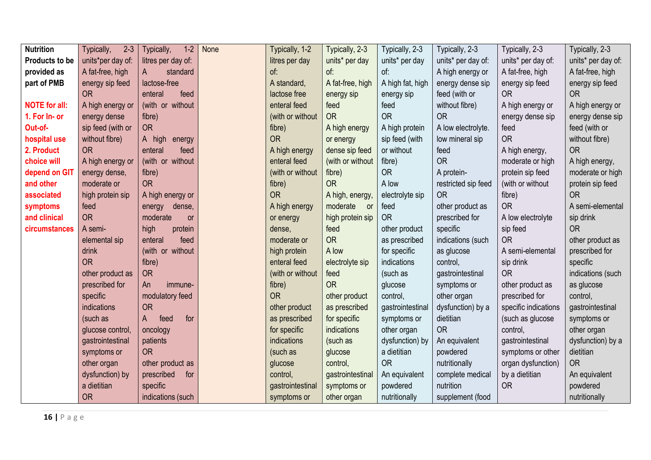| <b>Nutrition</b>     | Typically,<br>$2 - 3$ | $1 - 2$<br>Typically,       | None | Typically, 1-2   | Typically, 2-3   | Typically, 2-3   | Typically, 2-3      | Typically, 2-3       | Typically, 2-3     |
|----------------------|-----------------------|-----------------------------|------|------------------|------------------|------------------|---------------------|----------------------|--------------------|
| Products to be       | units*per day of:     | litres per day of:          |      | litres per day   | units* per day   | units* per day   | units* per day of:  | units* per day of:   | units* per day of: |
| provided as          | A fat-free, high      | standard<br>A               |      | of:              | of:              | of:              | A high energy or    | A fat-free, high     | A fat-free, high   |
| part of PMB          | energy sip feed       | lactose-free                |      | A standard,      | A fat-free, high | A high fat, high | energy dense sip    | energy sip feed      | energy sip feed    |
|                      | <b>OR</b>             | enteral<br>feed             |      | lactose free     | energy sip       | energy sip       | feed (with or       | <b>OR</b>            | <b>OR</b>          |
| <b>NOTE for all:</b> | A high energy or      | (with or without            |      | enteral feed     | feed             | feed             | without fibre)      | A high energy or     | A high energy or   |
| 1. For In- or        | energy dense          | fibre)                      |      | (with or without | <b>OR</b>        | <b>OR</b>        | <b>OR</b>           | energy dense sip     | energy dense sip   |
| Out-of-              | sip feed (with or     | <b>OR</b>                   |      | fibre)           | A high energy    | A high protein   | A low electrolyte.  | feed                 | feed (with or      |
| hospital use         | without fibre)        | A high<br>energy            |      | <b>OR</b>        | or energy        | sip feed (with   | low mineral sip     | <b>OR</b>            | without fibre)     |
| 2. Product           | <b>OR</b>             | feed<br>enteral             |      | A high energy    | dense sip feed   | or without       | feed                | A high energy,       | <b>OR</b>          |
| choice will          | A high energy or      | (with or without            |      | enteral feed     | (with or without | fibre)           | <b>OR</b>           | moderate or high     | A high energy,     |
| depend on GIT        | energy dense,         | fibre)                      |      | (with or without | fibre)           | <b>OR</b>        | A protein-          | protein sip feed     | moderate or high   |
| and other            | moderate or           | <b>OR</b>                   |      | fibre)           | <b>OR</b>        | A low            | restricted sip feed | (with or without     | protein sip feed   |
| associated           | high protein sip      | A high energy or            |      | <b>OR</b>        | A high, energy,  | electrolyte sip  | <b>OR</b>           | fibre)               | <b>OR</b>          |
| symptoms             | feed                  | dense,<br>energy            |      | A high energy    | moderate<br>or   | feed             | other product as    | <b>OR</b>            | A semi-elemental   |
| and clinical         | <b>OR</b>             | moderate<br><b>or</b>       |      | or energy        | high protein sip | <b>OR</b>        | prescribed for      | A low electrolyte    | sip drink          |
| circumstances        | A semi-               | high<br>protein             |      | dense,           | feed             | other product    | specific            | sip feed             | <b>OR</b>          |
|                      | elemental sip         | feed<br>enteral             |      | moderate or      | OR               | as prescribed    | indications (such   | <b>OR</b>            | other product as   |
|                      | drink                 | (with or without            |      | high protein     | A low            | for specific     | as glucose          | A semi-elemental     | prescribed for     |
|                      | <b>OR</b>             | fibre)                      |      | enteral feed     | electrolyte sip  | indications      | control,            | sip drink            | specific           |
|                      | other product as      | <b>OR</b>                   |      | (with or without | feed             | (such as         | gastrointestinal    | <b>OR</b>            | indications (such  |
|                      | prescribed for        | An<br>immune-               |      | fibre)           | <b>OR</b>        | glucose          | symptoms or         | other product as     | as glucose         |
|                      | specific              | modulatory feed             |      | <b>OR</b>        | other product    | control,         | other organ         | prescribed for       | control,           |
|                      | indications           | <b>OR</b>                   |      | other product    | as prescribed    | gastrointestinal | dysfunction) by a   | specific indications | gastrointestinal   |
|                      | (such as              | feed<br>for<br>$\mathsf{A}$ |      | as prescribed    | for specific     | symptoms or      | dietitian           | (such as glucose     | symptoms or        |
|                      | glucose control,      | oncology                    |      | for specific     | indications      | other organ      | <b>OR</b>           | control,             | other organ        |
|                      | gastrointestinal      | patients                    |      | indications      | (such as         | dysfunction) by  | An equivalent       | gastrointestinal     | dysfunction) by a  |
|                      | symptoms or           | <b>OR</b>                   |      | (such as         | glucose          | a dietitian      | powdered            | symptoms or other    | dietitian          |
|                      | other organ           | other product as            |      | glucose          | control,         | <b>OR</b>        | nutritionally       | organ dysfunction)   | <b>OR</b>          |
|                      | dysfunction) by       | prescribed<br>for           |      | control,         | gastrointestinal | An equivalent    | complete medical    | by a dietitian       | An equivalent      |
|                      | a dietitian           | specific                    |      | gastrointestinal | symptoms or      | powdered         | nutrition           | <b>OR</b>            | powdered           |
|                      | <b>OR</b>             | indications (such           |      | symptoms or      | other organ      | nutritionally    | supplement (food    |                      | nutritionally      |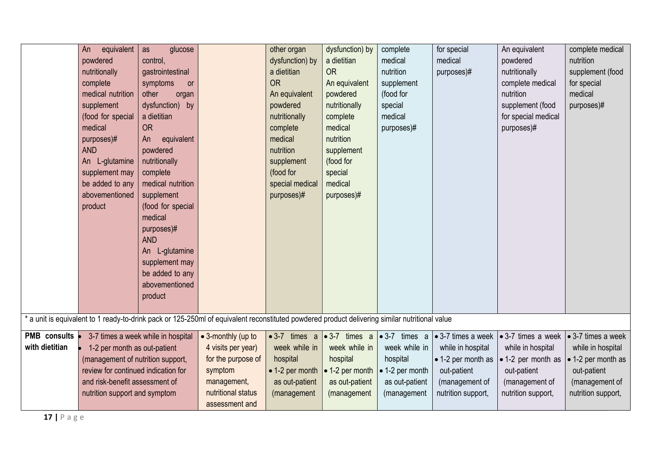|                                                                                                                                                                                                                                                                     | equivalent<br>An<br>powdered<br>nutritionally<br>complete<br>medical nutrition<br>supplement<br>(food for special<br>medical<br>purposes)#<br><b>AND</b><br>An L-glutamine<br>supplement may<br>be added to any<br>abovementioned<br>product | glucose<br>as<br>control,<br>gastrointestinal<br>symptoms<br>or<br>other<br>organ<br>dysfunction) by<br>a dietitian<br><b>OR</b><br>equivalent<br>An<br>powdered<br>nutritionally<br>complete<br>medical nutrition<br>supplement<br>(food for special<br>medical<br>purposes)#<br><b>AND</b><br>An L-glutamine<br>supplement may<br>be added to any<br>abovementioned<br>product |                                                                                       | other organ<br>dysfunction) by<br>a dietitian<br><b>OR</b><br>An equivalent<br>powdered<br>nutritionally<br>complete<br>medical<br>nutrition<br>supplement<br>(food for<br>special medical<br>purposes)# | dysfunction) by<br>a dietitian<br><b>OR</b><br>An equivalent<br>powdered<br>nutritionally<br>complete<br>medical<br>nutrition<br>supplement<br>(food for<br>special<br>medical<br>purposes)# | complete<br>medical<br>nutrition<br>supplement<br>(food for<br>special<br>medical<br>purposes)#                                                                                        | for special<br>medical<br>purposes)#                                                                                                          | An equivalent<br>powdered<br>nutritionally<br>complete medical<br>nutrition<br>supplement (food<br>for special medical<br>purposes)# | complete medical<br>nutrition<br>supplement (food<br>for special<br>medical<br>purposes)# |
|---------------------------------------------------------------------------------------------------------------------------------------------------------------------------------------------------------------------------------------------------------------------|----------------------------------------------------------------------------------------------------------------------------------------------------------------------------------------------------------------------------------------------|----------------------------------------------------------------------------------------------------------------------------------------------------------------------------------------------------------------------------------------------------------------------------------------------------------------------------------------------------------------------------------|---------------------------------------------------------------------------------------|----------------------------------------------------------------------------------------------------------------------------------------------------------------------------------------------------------|----------------------------------------------------------------------------------------------------------------------------------------------------------------------------------------------|----------------------------------------------------------------------------------------------------------------------------------------------------------------------------------------|-----------------------------------------------------------------------------------------------------------------------------------------------|--------------------------------------------------------------------------------------------------------------------------------------|-------------------------------------------------------------------------------------------|
| * a unit is equivalent to 1 ready-to-drink pack or 125-250ml of equivalent reconstituted powdered product delivering similar nutritional value                                                                                                                      |                                                                                                                                                                                                                                              |                                                                                                                                                                                                                                                                                                                                                                                  |                                                                                       |                                                                                                                                                                                                          |                                                                                                                                                                                              |                                                                                                                                                                                        |                                                                                                                                               |                                                                                                                                      |                                                                                           |
| <b>PMB</b> consults <b>.</b><br>3-7 times a week while in hospital<br>with dietitian<br>1-2 per month as out-patient<br>(management of nutrition support,<br>review for continued indication for<br>and risk-benefit assessment of<br>nutrition support and symptom |                                                                                                                                                                                                                                              | $\bullet$ 3-monthly (up to<br>4 visits per year)<br>for the purpose of<br>symptom<br>management,<br>nutritional status<br>assessment and                                                                                                                                                                                                                                         | week while in<br>hospital<br>$\bullet$ 1-2 per month<br>as out-patient<br>(management | week while in<br>hospital<br>$\bullet$ 1-2 per month<br>as out-patient<br>(management                                                                                                                    | week while in<br>hospital<br>$\bullet$ 1-2 per month<br>as out-patient<br>(management                                                                                                        | • 3-7 times a $\bullet$ 3-7 times a $\bullet$ 3-7 times a $\bullet$ 3-7 times a week<br>while in hospital<br>• 1-2 per month as<br>out-patient<br>(management of<br>nutrition support, | • 3-7 times a week $\cdot$ 3-7 times a week<br>while in hospital<br>• 1-2 per month as<br>out-patient<br>(management of<br>nutrition support, | while in hospital<br>• 1-2 per month as<br>out-patient<br>(management of<br>nutrition support,                                       |                                                                                           |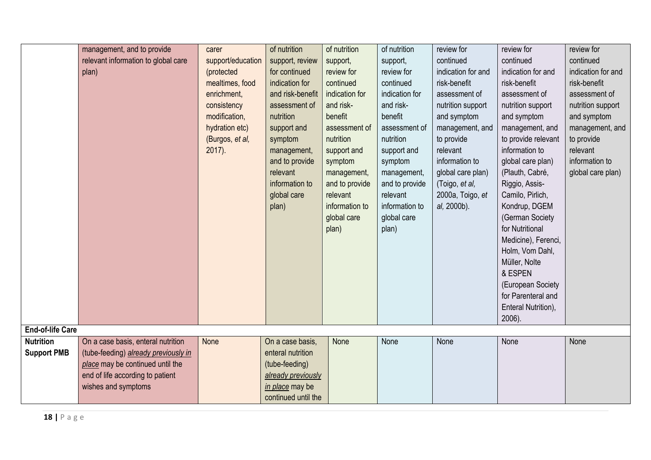|                         | management, and to provide           | carer             | of nutrition        | of nutrition   | of nutrition   | review for         | review for                    | review for         |
|-------------------------|--------------------------------------|-------------------|---------------------|----------------|----------------|--------------------|-------------------------------|--------------------|
|                         | relevant information to global care  | support/education | support, review     | support,       | support,       | continued          | continued                     | continued          |
|                         | plan)                                | (protected        | for continued       | review for     | review for     | indication for and | indication for and            | indication for and |
|                         |                                      | mealtimes, food   | indication for      | continued      | continued      | risk-benefit       | risk-benefit                  | risk-benefit       |
|                         |                                      | enrichment,       | and risk-benefit    | indication for | indication for | assessment of      | assessment of                 | assessment of      |
|                         |                                      | consistency       | assessment of       | and risk-      | and risk-      | nutrition support  | nutrition support             | nutrition support  |
|                         |                                      | modification,     | nutrition           | benefit        | benefit        | and symptom        | and symptom                   | and symptom        |
|                         |                                      | hydration etc)    | support and         | assessment of  | assessment of  | management, and    | management, and               | management, and    |
|                         |                                      | (Burgos, et al,   | symptom             | nutrition      | nutrition      | to provide         | to provide relevant           | to provide         |
|                         |                                      | $2017$ ).         | management,         | support and    | support and    | relevant           | information to                | relevant           |
|                         |                                      |                   | and to provide      | symptom        | symptom        | information to     | global care plan)             | information to     |
|                         |                                      |                   | relevant            | management,    | management,    | global care plan)  | (Plauth, Cabré,               | global care plan)  |
|                         |                                      |                   | information to      | and to provide | and to provide | (Toigo, et al,     | Riggio, Assis-                |                    |
|                         |                                      |                   | global care         | relevant       | relevant       | 2000a, Toigo, et   | Camilo, Pirlich,              |                    |
|                         |                                      |                   | plan)               | information to | information to | al, 2000b).        | Kondrup, DGEM                 |                    |
|                         |                                      |                   |                     | global care    | global care    |                    | (German Society               |                    |
|                         |                                      |                   |                     | plan)          | plan)          |                    | for Nutritional               |                    |
|                         |                                      |                   |                     |                |                |                    | Medicine), Ferenci,           |                    |
|                         |                                      |                   |                     |                |                |                    | Holm, Vom Dahl,               |                    |
|                         |                                      |                   |                     |                |                |                    | Müller, Nolte                 |                    |
|                         |                                      |                   |                     |                |                |                    | & ESPEN                       |                    |
|                         |                                      |                   |                     |                |                |                    | (European Society             |                    |
|                         |                                      |                   |                     |                |                |                    | for Parenteral and            |                    |
|                         |                                      |                   |                     |                |                |                    | Enteral Nutrition),<br>2006). |                    |
| <b>End-of-life Care</b> |                                      |                   |                     |                |                |                    |                               |                    |
| <b>Nutrition</b>        | On a case basis, enteral nutrition   | None              | On a case basis,    | None           | None           | None               | None                          | None               |
| <b>Support PMB</b>      | (tube-feeding) already previously in |                   | enteral nutrition   |                |                |                    |                               |                    |
|                         | place may be continued until the     |                   | (tube-feeding)      |                |                |                    |                               |                    |
|                         | end of life according to patient     |                   | already previously  |                |                |                    |                               |                    |
|                         | wishes and symptoms                  |                   | in place may be     |                |                |                    |                               |                    |
|                         |                                      |                   | continued until the |                |                |                    |                               |                    |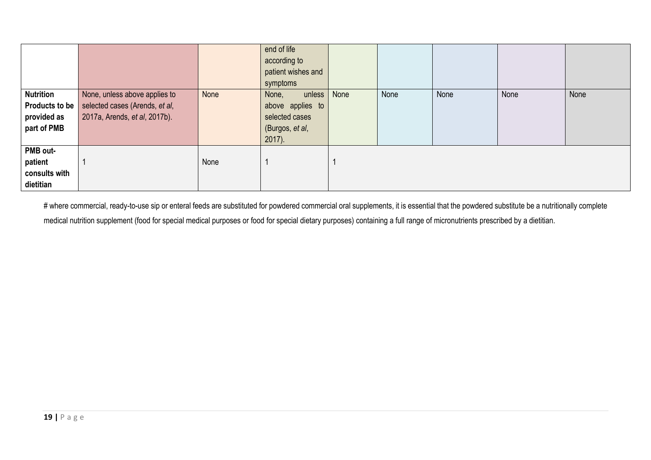| <b>Nutrition</b><br>Products to be $\vert$<br>provided as<br>part of PMB | None, unless above applies to<br>selected cases (Arends, et al,<br>2017a, Arends, et al, 2017b). | None | end of life<br>according to<br>patient wishes and<br>symptoms<br>unless<br>None,<br>above applies to<br>selected cases<br>(Burgos, et al, | None | None | None | None | None |
|--------------------------------------------------------------------------|--------------------------------------------------------------------------------------------------|------|-------------------------------------------------------------------------------------------------------------------------------------------|------|------|------|------|------|
|                                                                          |                                                                                                  |      | $2017$ ).                                                                                                                                 |      |      |      |      |      |
| PMB out-<br>patient<br>consults with<br>dietitian                        |                                                                                                  | None |                                                                                                                                           |      |      |      |      |      |

# where commercial, ready-to-use sip or enteral feeds are substituted for powdered commercial oral supplements, it is essential that the powdered substitute be a nutritionally complete medical nutrition supplement (food for special medical purposes or food for special dietary purposes) containing a full range of micronutrients prescribed by a dietitian.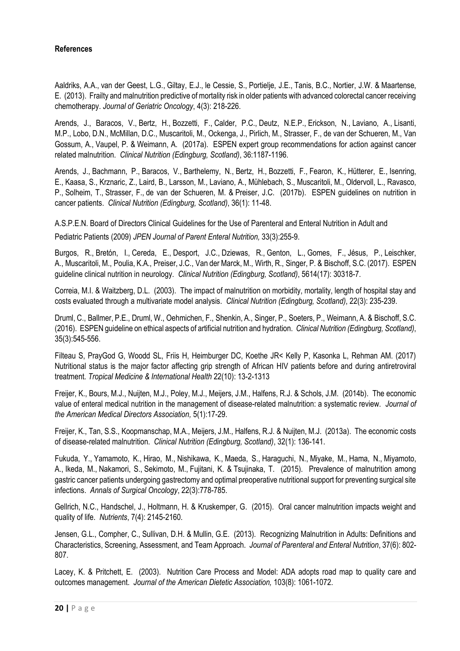## **References**

Aaldriks, A.A., van der Geest, L.G., Giltay, E.J., le Cessie, S., Portielje, J.E., Tanis, B.C., Nortier, J.W. & Maartense, E. (2013). Frailty and malnutrition predictive of mortality risk in older patients with advanced colorectal cancer receiving chemotherapy. *Journal of Geriatric Oncology*, 4(3): 218-226.

Arends, J., Baracos, V., Bertz, H., Bozzetti, F., Calder, P.C., Deutz, N.E.P., Erickson, N., Laviano, A., Lisanti, M.P., Lobo, D.N., McMillan, D.C., Muscaritoli, M., Ockenga, J., Pirlich, M., Strasser, F., de van der Schueren, M., Van Gossum, A., Vaupel, P. & Weimann, A. (2017a). ESPEN expert group recommendations for action against cancer related malnutrition. *Clinical Nutrition (Edingburg, Scotland)*, 36:1187-1196.

Arends, J., Bachmann, P., Baracos, V., Barthelemy, N., Bertz, H., Bozzetti, F., Fearon, K., Hütterer, E., Isenring, E., Kaasa, S., Krznaric, Z., Laird, B., Larsson, M., Laviano, A., Mühlebach, S., Muscaritoli, M., Oldervoll, L., Ravasco, P., Solheim, T., Strasser, F., de van der Schueren, M. & Preiser, J.C. (2017b). ESPEN guidelines on nutrition in cancer patients. *Clinical Nutrition (Edingburg, Scotland)*, 36(1): 11-48.

A.S.P.E.N. Board of Directors Clinical Guidelines for the Use of Parenteral and Enteral Nutrition in Adult and Pediatric Patients (2009) *JPEN Journal of Parent Enteral Nutrition,* 33(3):255-9.

Burgos, R., Bretón, I., Cereda, E., Desport, J.C., Dziewas, R., Genton, L., Gomes, F., Jésus, P., Leischker, A., Muscaritoli, M., Poulia, K.A., Preiser, J.C., Van der Marck, M., Wirth, R., Singer, P. & Bischoff, S.C. (2017). ESPEN guideline clinical nutrition in neurology. *Clinical Nutrition (Edingburg, Scotland)*, 5614(17): 30318-7.

Correia, M.I. & Waitzberg, D.L. (2003). The impact of malnutrition on morbidity, mortality, length of hospital stay and costs evaluated through a multivariate model analysis. *Clinical Nutrition (Edingburg, Scotland)*, 22(3): 235-239.

Druml, C., Ballmer, P.E., Druml, W., Oehmichen, F., Shenkin, A., Singer, P., Soeters, P., Weimann, A. & Bischoff, S.C. (2016). ESPEN guideline on ethical aspects of artificial nutrition and hydration. *Clinical Nutrition (Edingburg, Scotland)*, 35(3):545-556.

Filteau S, PrayGod G, Woodd SL, Friis H, Heimburger DC, Koethe JR< Kelly P, Kasonka L, Rehman AM. (2017) Nutritional status is the major factor affecting grip strength of African HIV patients before and during antiretroviral treatment. *Tropical Medicine & International Health* 22(10): 13-2-1313

Freijer, K., Bours, M.J., Nuijten, M.J., Poley, M.J., Meijers, J.M., Halfens, R.J. & Schols, J.M. (2014b). The economic value of enteral medical nutrition in the management of disease-related malnutrition: a systematic review. *Journal of the American Medical Directors Association,* 5(1):17-29.

Freijer, K., Tan, S.S., Koopmanschap, M.A., Meijers, J.M., Halfens, R.J. & Nuijten, M.J. (2013a). The economic costs of disease-related malnutrition. *Clinical Nutrition (Edingburg, Scotland)*, 32(1): 136-141.

Fukuda, Y., Yamamoto, K., Hirao, M., Nishikawa, K., Maeda, S., Haraguchi, N., Miyake, M., Hama, N., Miyamoto, A., Ikeda, M., Nakamori, S., Sekimoto, M., Fujitani, K. & Tsujinaka, T. (2015). Prevalence of malnutrition among gastric cancer patients undergoing gastrectomy and optimal preoperative nutritional support for preventing surgical site infections. *Annals of Surgical Oncology*, 22(3):778-785.

Gellrich, N.C., Handschel, J., Holtmann, H. & Kruskemper, G. (2015). Oral cancer malnutrition impacts weight and quality of life. *Nutrients*, 7(4): 2145-2160.

Jensen, G.L., Compher, C., Sullivan, D.H. & Mullin, G.E. (2013). Recognizing Malnutrition in Adults: Definitions and Characteristics, Screening, Assessment, and Team Approach. *Journal of Parenteral and Enteral Nutrition*, 37(6): 802- 807.

Lacey, K. & Pritchett, E. (2003). Nutrition Care Process and Model: ADA adopts road map to quality care and outcomes management. *Journal of the American Dietetic Association,* 103(8): 1061-1072.